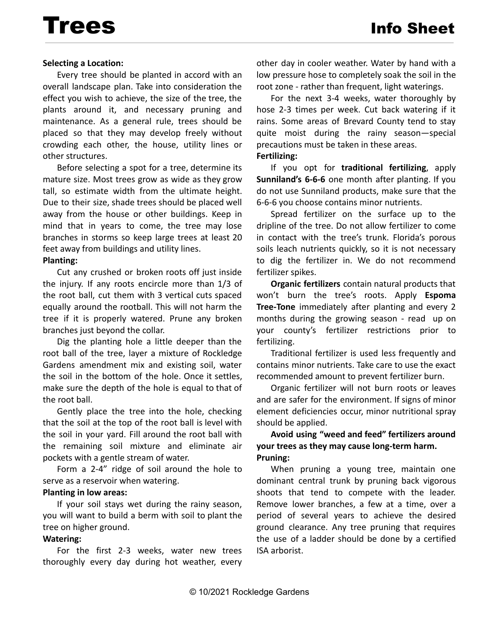# Trees Info Sheet

## **Selecting a Location:**

Every tree should be planted in accord with an overall landscape plan. Take into consideration the effect you wish to achieve, the size of the tree, the plants around it, and necessary pruning and maintenance. As a general rule, trees should be placed so that they may develop freely without crowding each other, the house, utility lines or other structures.

Before selecting a spot for a tree, determine its mature size. Most trees grow as wide as they grow tall, so estimate width from the ultimate height. Due to their size, shade trees should be placed well away from the house or other buildings. Keep in mind that in years to come, the tree may lose branches in storms so keep large trees at least 20 feet away from buildings and utility lines.

#### **Planting:**

Cut any crushed or broken roots off just inside the injury. If any roots encircle more than 1/3 of the root ball, cut them with 3 vertical cuts spaced equally around the rootball. This will not harm the tree if it is properly watered. Prune any broken branches just beyond the collar.

Dig the planting hole a little deeper than the root ball of the tree, layer a mixture of Rockledge Gardens amendment mix and existing soil, water the soil in the bottom of the hole. Once it settles, make sure the depth of the hole is equal to that of the root ball.

Gently place the tree into the hole, checking that the soil at the top of the root ball is level with the soil in your yard. Fill around the root ball with the remaining soil mixture and eliminate air pockets with a gentle stream of water.

Form a 2-4" ridge of soil around the hole to serve as a reservoir when watering.

## **Planting in low areas:**

If your soil stays wet during the rainy season, you will want to build a berm with soil to plant the tree on higher ground.

## **Watering:**

For the first 2-3 weeks, water new trees thoroughly every day during hot weather, every other day in cooler weather. Water by hand with a low pressure hose to completely soak the soil in the root zone - rather than frequent, light waterings.

For the next 3-4 weeks, water thoroughly by hose 2-3 times per week. Cut back watering if it rains. Some areas of Brevard County tend to stay quite moist during the rainy season—special precautions must be taken in these areas.

#### **Fertilizing:**

If you opt for **traditional fertilizing**, apply **Sunniland's 6-6-6** one month after planting. If you do not use Sunniland products, make sure that the 6-6-6 you choose contains minor nutrients.

Spread fertilizer on the surface up to the dripline of the tree. Do not allow fertilizer to come in contact with the tree's trunk. Florida's porous soils leach nutrients quickly, so it is not necessary to dig the fertilizer in. We do not recommend fertilizer spikes.

**Organic fertilizers** contain natural products that won't burn the tree's roots. Apply **Espoma Tree-Tone** immediately after planting and every 2 months during the growing season - read up on your county's fertilizer restrictions prior to fertilizing.

Traditional fertilizer is used less frequently and contains minor nutrients. Take care to use the exact recommended amount to prevent fertilizer burn.

Organic fertilizer will not burn roots or leaves and are safer for the environment. If signs of minor element deficiencies occur, minor nutritional spray should be applied.

## **Avoid using "weed and feed" fertilizers around your trees as they may cause long-term harm. Pruning:**

When pruning a young tree, maintain one dominant central trunk by pruning back vigorous shoots that tend to compete with the leader. Remove lower branches, a few at a time, over a period of several years to achieve the desired ground clearance. Any tree pruning that requires the use of a ladder should be done by a certified ISA arborist.